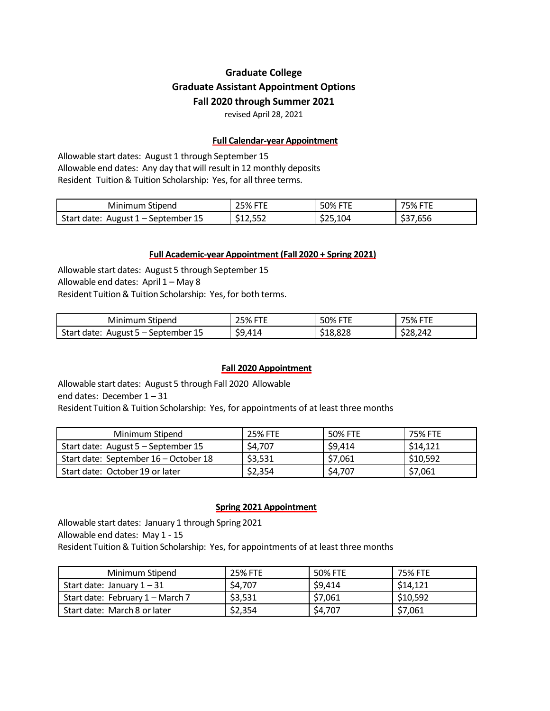# **Graduate College Graduate Assistant Appointment Options Fall 2020 through Summer 2021**

revised April 28, 2021

### **Full Calendar-year Appointment**

Allowable start dates: August 1 through September 15 Allowable end dates: Any day that will result in 12 monthly deposits Resident Tuition& Tuition Scholarship: Yes, for all three terms.

| Stipend<br>Mınımum                                                     | ----<br>25%               | ---<br>50% FT | ---<br>75%<br>. .                    |
|------------------------------------------------------------------------|---------------------------|---------------|--------------------------------------|
| Start<br>August 1<br>September 15<br>date:<br>$\overline{\phantom{0}}$ | ---<br><u>_</u><br>12,55Z | - 25,104ہ     | $\sim$ $\sim$ $\sim$<br>',656<br>، ب |

### **Full Academic-yearAppointment (Fall 2020 + Spring 2021)**

Allowable start dates: August 5 through September 15 Allowable end dates: April 1 – May 8 Resident Tuition & Tuition Scholarship: Yes, for both terms.

| Stipend<br>Mınımum                                                     | <b>25% FTE</b> | <b>50% FTE</b>            | <b>75% FTE</b> |
|------------------------------------------------------------------------|----------------|---------------------------|----------------|
| Start<br>September 15<br>date:<br>August 5<br>$\overline{\phantom{0}}$ | \$9.414        | \$18,828<br>$\sim$ $\sim$ | \$28,242       |

## **Fall 2020 Appointment**

Allowable start dates: August 5 through Fall 2020 Allowable end dates: December 1 – 31 Resident Tuition & Tuition Scholarship: Yes, for appointments of at least three months

| Minimum Stipend                       | <b>25% FTE</b> | 50% FTE | 75% FTE  |
|---------------------------------------|----------------|---------|----------|
| Start date: August 5 - September 15   | \$4.707        | \$9.414 | \$14,121 |
| Start date: September 16 – October 18 | \$3,531        | \$7,061 | \$10,592 |
| Start date: October 19 or later       | \$2,354        | \$4,707 | \$7,061  |

#### **Spring 2021 Appointment**

Allowable start dates: January 1 through Spring 2021 Allowable end dates: May 1 - 15 Resident Tuition& Tuition Scholarship: Yes, for appointments of at least three months

| Minimum Stipend                  | 25% FTE | 50% FTE | 75% FTE  |
|----------------------------------|---------|---------|----------|
| Start date: January $1-31$       | \$4,707 | \$9,414 | \$14,121 |
| Start date: February 1 – March 7 | \$3,531 | \$7,061 | \$10,592 |
| Start date: March 8 or later     | \$2,354 | \$4,707 | \$7,061  |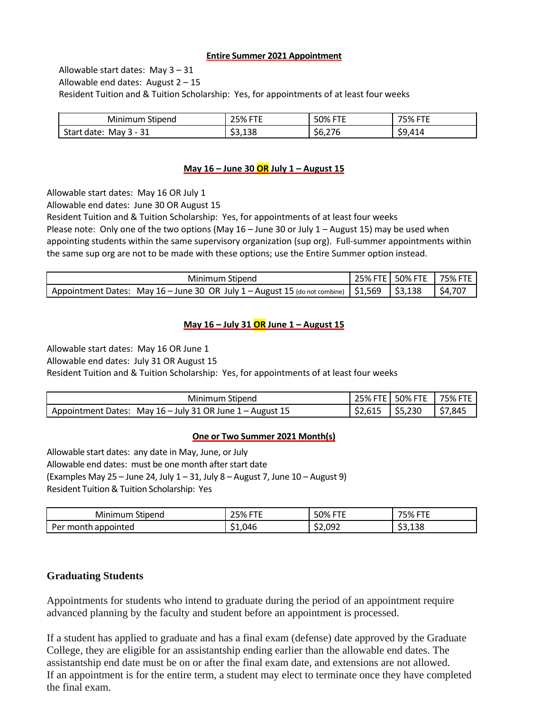#### **Entire Summer 2021 Appointment**

Allowable start dates: May 3 – 31 Allowable end dates: August  $2 - 15$ Resident Tuition and & Tuition Scholarship: Yes, for appointments of at least four weeks

| Stipend<br>"inimum .<br>MII                | ---<br>าг∩⁄<br>07ס<br>ر ے | ----<br>50% I<br>-<br>. .             | ----<br>75%<br>70<br>- |
|--------------------------------------------|---------------------------|---------------------------------------|------------------------|
| ີ<br>Star<br>May<br>date:<br>. .<br>ັ<br>ັ | \$3,138                   | $\sim$ $\sim$<br><b>. .</b><br>56.Z76 | ¢۹<br>414<br>--        |

# **May 16 – June 30 OR July 1 – August 15**

Allowable start dates: May 16 OR July 1

Allowable end dates: June 30 OR August 15

Resident Tuition and & Tuition Scholarship: Yes, for appointments of at least four weeks

Please note: Only one of the two options (May  $16 -$  June 30 or July  $1 -$  August 15) may be used when appointing students within the same supervisory organization (sup org). Full-summer appointments within the same sup org are not to be made with these options; use the Entire Summer option instead.

| Minimum Stipend                                                                                |  | 25% FTE   50% FTE   75% FTE |                       |
|------------------------------------------------------------------------------------------------|--|-----------------------------|-----------------------|
| Appointment Dates: May 16 – June 30 OR July 1 – August 15 (do not combine)   \$1,569   \$3,138 |  |                             | $\frac{1}{2}$ \$4,707 |

## **May 16 – July 31 OR June 1 – August 15**

Allowable start dates: May 16 OR June 1

Allowable end dates: July 31 OR August 15

Resident Tuition and & Tuition Scholarship: Yes, for appointments of at least four weeks

| Minimum Stipend                                           |         | 25% FTE   50% FTE | <b>75% FTE</b> |
|-----------------------------------------------------------|---------|-------------------|----------------|
| Appointment Dates: May 16 - July 31 OR June 1 - August 15 | \$2.615 | 55,230            | \$7,845        |

## **One or Two Summer 2021 Month(s)**

Allowable start dates: any date in May, June, or July Allowable end dates: must be one month after start date (Examples May 25 – June 24, July  $1 - 31$ , July  $8 -$  August 7, June  $10 -$  August 9) Resident Tuition& Tuition Scholarship: Yes

| <b>Minimum</b><br>Stipend                  | ---<br>25% | $50%$ H<br>---<br>. . | 75%<br>---- |
|--------------------------------------------|------------|-----------------------|-------------|
| month appointed <sup>.</sup><br><b>Per</b> | \$1.046    | \$2.092               | \$3.138     |

# **Graduating Students**

Appointments for students who intend to graduate during the period of an appointment require advanced planning by the faculty and student before an appointment is processed.

If a student has applied to graduate and has a final exam (defense) date approved by the Graduate College, they are eligible for an assistantship ending earlier than the allowable end dates. The assistantship end date must be on or after the final exam date, and extensions are not allowed. If an appointment is for the entire term, a student may elect to terminate once they have completed the final exam.